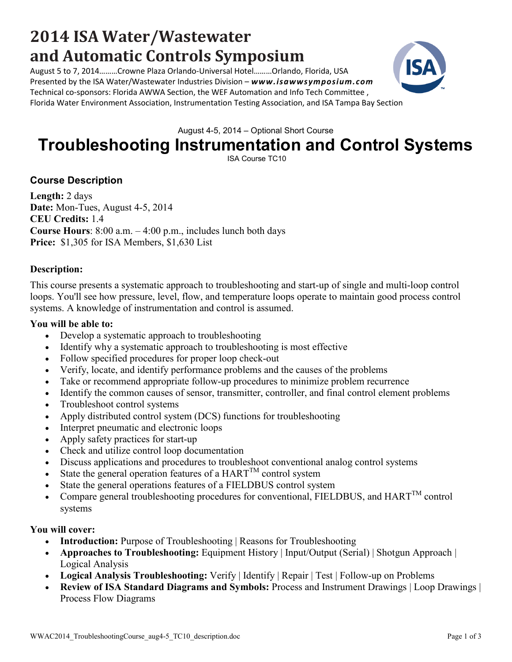#### WWAC2014 TroubleshootingCourse aug4-5 TC10 description.doc Page 1 of 3

# **2014 ISA Water/Wastewater and Automatic Controls Symposium**

August 5 to 7, 2014………Crowne Plaza Orlando-Universal Hotel………Orlando, Florida, USA Presented by the ISA Water/Wastewater Industries Division – *www.isawwsymposium.com* Technical co-sponsors: Florida AWWA Section, the WEF Automation and Info Tech Committee , Florida Water Environment Association, Instrumentation Testing Association, and ISA Tampa Bay Section

August 4-5, 2014 – Optional Short Course

## **Troubleshooting Instrumentation and Control Systems**

ISA Course TC10

### **Course Description**

**Length:** 2 days **Date:** Mon-Tues, August 4-5, 2014 **CEU Credits:** 1.4 **Course Hours**: 8:00 a.m. – 4:00 p.m., includes lunch both days **Price:** \$1,305 for ISA Members, \$1,630 List

#### **Description:**

This course presents a systematic approach to troubleshooting and start-up of single and multi-loop control loops. You'll see how pressure, level, flow, and temperature loops operate to maintain good process control systems. A knowledge of instrumentation and control is assumed.

#### **You will be able to:**

- Develop a systematic approach to troubleshooting
- Identify why a systematic approach to troubleshooting is most effective
- Follow specified procedures for proper loop check-out
- Verify, locate, and identify performance problems and the causes of the problems
- Take or recommend appropriate follow-up procedures to minimize problem recurrence
- Identify the common causes of sensor, transmitter, controller, and final control element problems
- Troubleshoot control systems
- Apply distributed control system (DCS) functions for troubleshooting
- Interpret pneumatic and electronic loops
- Apply safety practices for start-up
- Check and utilize control loop documentation
- Discuss applications and procedures to troubleshoot conventional analog control systems
- State the general operation features of a  $HART^{TM}$  control system
- State the general operations features of a FIELDBUS control system
- Compare general troubleshooting procedures for conventional, FIELDBUS, and  $HART^{TM}$  control systems

#### **You will cover:**

- **Introduction:** Purpose of Troubleshooting | Reasons for Troubleshooting
- **Approaches to Troubleshooting:** Equipment History | Input/Output (Serial) | Shotgun Approach | Logical Analysis
- **Logical Analysis Troubleshooting:** Verify | Identify | Repair | Test | Follow-up on Problems
- **Review of ISA Standard Diagrams and Symbols:** Process and Instrument Drawings | Loop Drawings | Process Flow Diagrams

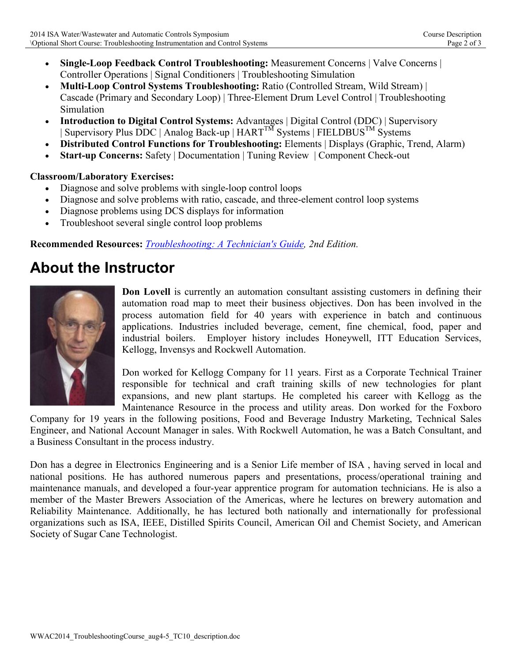- **Single-Loop Feedback Control Troubleshooting:** Measurement Concerns | Valve Concerns | Controller Operations | Signal Conditioners | Troubleshooting Simulation
- **Multi-Loop Control Systems Troubleshooting:** Ratio (Controlled Stream, Wild Stream) | Cascade (Primary and Secondary Loop) | Three-Element Drum Level Control | Troubleshooting Simulation
- **Introduction to Digital Control Systems:** Advantages | Digital Control (DDC) | Supervisory | Supervisory Plus DDC | Analog Back-up | HART<sup>TM</sup> Systems | FIELDBUS<sup>TM</sup> Systems
- **Distributed Control Functions for Troubleshooting:** Elements | Displays (Graphic, Trend, Alarm)
- **Start-up Concerns:** Safety | Documentation | Tuning Review | Component Check-out

### **Classroom/Laboratory Exercises:**

- Diagnose and solve problems with single-loop control loops
- Diagnose and solve problems with ratio, cascade, and three-element control loop systems
- Diagnose problems using DCS displays for information
- Troubleshoot several single control loop problems

**Recommended Resources:** *Troubleshooting: A Technician's Guide, 2nd Edition.*

### **About the Instructor**



**Don Lovell** is currently an automation consultant assisting customers in defining their automation road map to meet their business objectives. Don has been involved in the process automation field for 40 years with experience in batch and continuous applications. Industries included beverage, cement, fine chemical, food, paper and industrial boilers. Employer history includes Honeywell, ITT Education Services, Kellogg, Invensys and Rockwell Automation.

Don worked for Kellogg Company for 11 years. First as a Corporate Technical Trainer responsible for technical and craft training skills of new technologies for plant expansions, and new plant startups. He completed his career with Kellogg as the Maintenance Resource in the process and utility areas. Don worked for the Foxboro

Company for 19 years in the following positions, Food and Beverage Industry Marketing, Technical Sales Engineer, and National Account Manager in sales. With Rockwell Automation, he was a Batch Consultant, and a Business Consultant in the process industry.

Don has a degree in Electronics Engineering and is a Senior Life member of ISA , having served in local and national positions. He has authored numerous papers and presentations, process/operational training and maintenance manuals, and developed a four-year apprentice program for automation technicians. He is also a member of the Master Brewers Association of the Americas, where he lectures on brewery automation and Reliability Maintenance. Additionally, he has lectured both nationally and internationally for professional organizations such as ISA, IEEE, Distilled Spirits Council, American Oil and Chemist Society, and American Society of Sugar Cane Technologist.